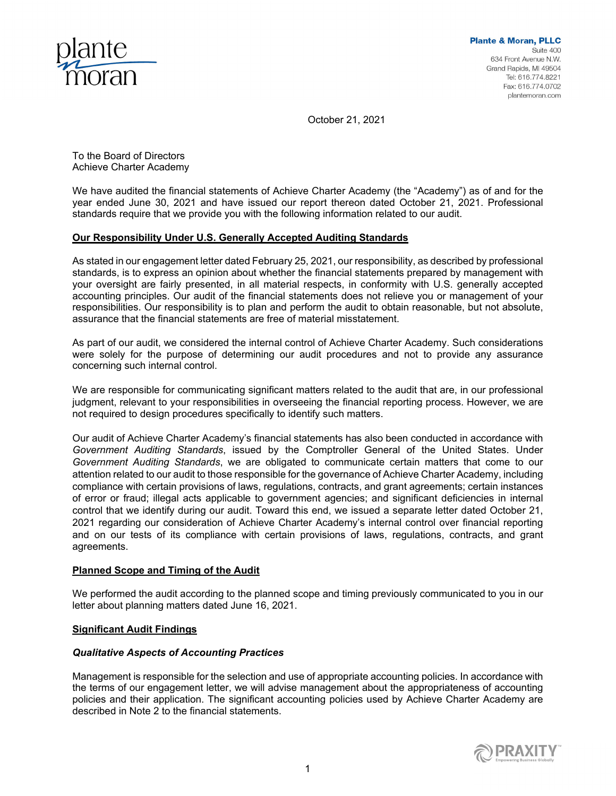

October 21, 2021

To the Board of Directors Achieve Charter Academy

We have audited the financial statements of Achieve Charter Academy (the "Academy") as of and for the year ended June 30, 2021 and have issued our report thereon dated October 21, 2021. Professional standards require that we provide you with the following information related to our audit.

# **Our Responsibility Under U.S. Generally Accepted Auditing Standards**

As stated in our engagement letter dated February 25, 2021, our responsibility, as described by professional standards, is to express an opinion about whether the financial statements prepared by management with your oversight are fairly presented, in all material respects, in conformity with U.S. generally accepted accounting principles. Our audit of the financial statements does not relieve you or management of your responsibilities. Our responsibility is to plan and perform the audit to obtain reasonable, but not absolute, assurance that the financial statements are free of material misstatement.

As part of our audit, we considered the internal control of Achieve Charter Academy. Such considerations were solely for the purpose of determining our audit procedures and not to provide any assurance concerning such internal control.

We are responsible for communicating significant matters related to the audit that are, in our professional judgment, relevant to your responsibilities in overseeing the financial reporting process. However, we are not required to design procedures specifically to identify such matters.

Our audit of Achieve Charter Academy's financial statements has also been conducted in accordance with *Government Auditing Standards*, issued by the Comptroller General of the United States. Under *Government Auditing Standards*, we are obligated to communicate certain matters that come to our attention related to our audit to those responsible for the governance of Achieve Charter Academy, including compliance with certain provisions of laws, regulations, contracts, and grant agreements; certain instances of error or fraud; illegal acts applicable to government agencies; and significant deficiencies in internal control that we identify during our audit. Toward this end, we issued a separate letter dated October 21, 2021 regarding our consideration of Achieve Charter Academy's internal control over financial reporting and on our tests of its compliance with certain provisions of laws, regulations, contracts, and grant agreements.

## **Planned Scope and Timing of the Audit**

We performed the audit according to the planned scope and timing previously communicated to you in our letter about planning matters dated June 16, 2021.

## **Significant Audit Findings**

## *Qualitative Aspects of Accounting Practices*

Management is responsible for the selection and use of appropriate accounting policies. In accordance with the terms of our engagement letter, we will advise management about the appropriateness of accounting policies and their application. The significant accounting policies used by Achieve Charter Academy are described in Note 2 to the financial statements.

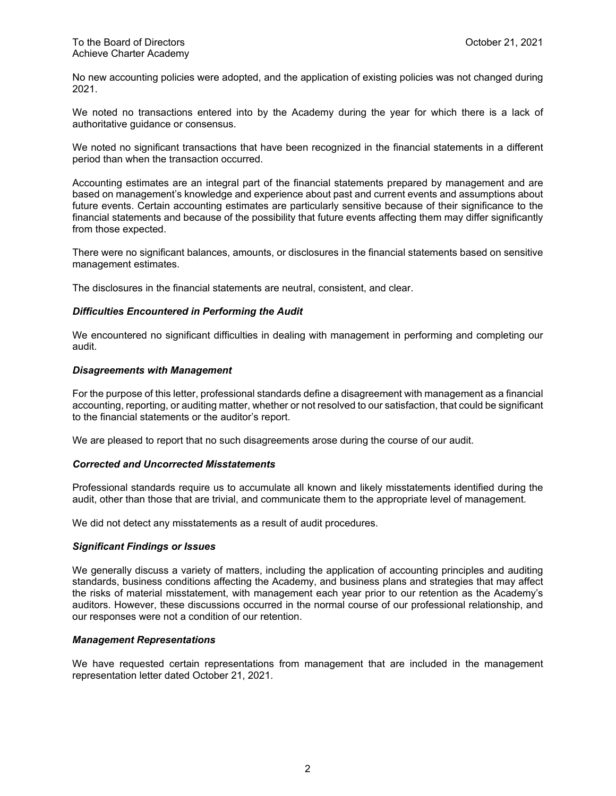No new accounting policies were adopted, and the application of existing policies was not changed during 2021.

We noted no transactions entered into by the Academy during the year for which there is a lack of authoritative guidance or consensus.

We noted no significant transactions that have been recognized in the financial statements in a different period than when the transaction occurred.

Accounting estimates are an integral part of the financial statements prepared by management and are based on management's knowledge and experience about past and current events and assumptions about future events. Certain accounting estimates are particularly sensitive because of their significance to the financial statements and because of the possibility that future events affecting them may differ significantly from those expected.

There were no significant balances, amounts, or disclosures in the financial statements based on sensitive management estimates.

The disclosures in the financial statements are neutral, consistent, and clear.

## *Difficulties Encountered in Performing the Audit*

We encountered no significant difficulties in dealing with management in performing and completing our audit.

#### *Disagreements with Management*

For the purpose of this letter, professional standards define a disagreement with management as a financial accounting, reporting, or auditing matter, whether or not resolved to our satisfaction, that could be significant to the financial statements or the auditor's report.

We are pleased to report that no such disagreements arose during the course of our audit.

## *Corrected and Uncorrected Misstatements*

Professional standards require us to accumulate all known and likely misstatements identified during the audit, other than those that are trivial, and communicate them to the appropriate level of management.

We did not detect any misstatements as a result of audit procedures.

#### *Significant Findings or Issues*

We generally discuss a variety of matters, including the application of accounting principles and auditing standards, business conditions affecting the Academy, and business plans and strategies that may affect the risks of material misstatement, with management each year prior to our retention as the Academy's auditors. However, these discussions occurred in the normal course of our professional relationship, and our responses were not a condition of our retention.

### *Management Representations*

We have requested certain representations from management that are included in the management representation letter dated October 21, 2021.